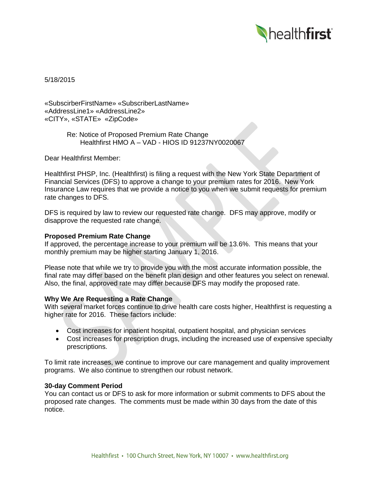

5/18/2015

«SubscirberFirstName» «SubscriberLastName» «AddressLine1» «AddressLine2» «CITY», «STATE» «ZipCode»

> Re: Notice of Proposed Premium Rate Change Healthfirst HMO A – VAD - HIOS ID 91237NY0020067

Dear Healthfirst Member:

Healthfirst PHSP, Inc. (Healthfirst) is filing a request with the New York State Department of Financial Services (DFS) to approve a change to your premium rates for 2016. New York Insurance Law requires that we provide a notice to you when we submit requests for premium rate changes to DFS.

DFS is required by law to review our requested rate change. DFS may approve, modify or disapprove the requested rate change.

## **Proposed Premium Rate Change**

If approved, the percentage increase to your premium will be 13.6%. This means that your monthly premium may be higher starting January 1, 2016.

Please note that while we try to provide you with the most accurate information possible, the final rate may differ based on the benefit plan design and other features you select on renewal. Also, the final, approved rate may differ because DFS may modify the proposed rate.

# **Why We Are Requesting a Rate Change**

With several market forces continue to drive health care costs higher, Healthfirst is requesting a higher rate for 2016. These factors include:

- Cost increases for inpatient hospital, outpatient hospital, and physician services
- Cost increases for prescription drugs, including the increased use of expensive specialty prescriptions.

To limit rate increases, we continue to improve our care management and quality improvement programs. We also continue to strengthen our robust network.

#### **30-day Comment Period**

You can contact us or DFS to ask for more information or submit comments to DFS about the proposed rate changes. The comments must be made within 30 days from the date of this notice.